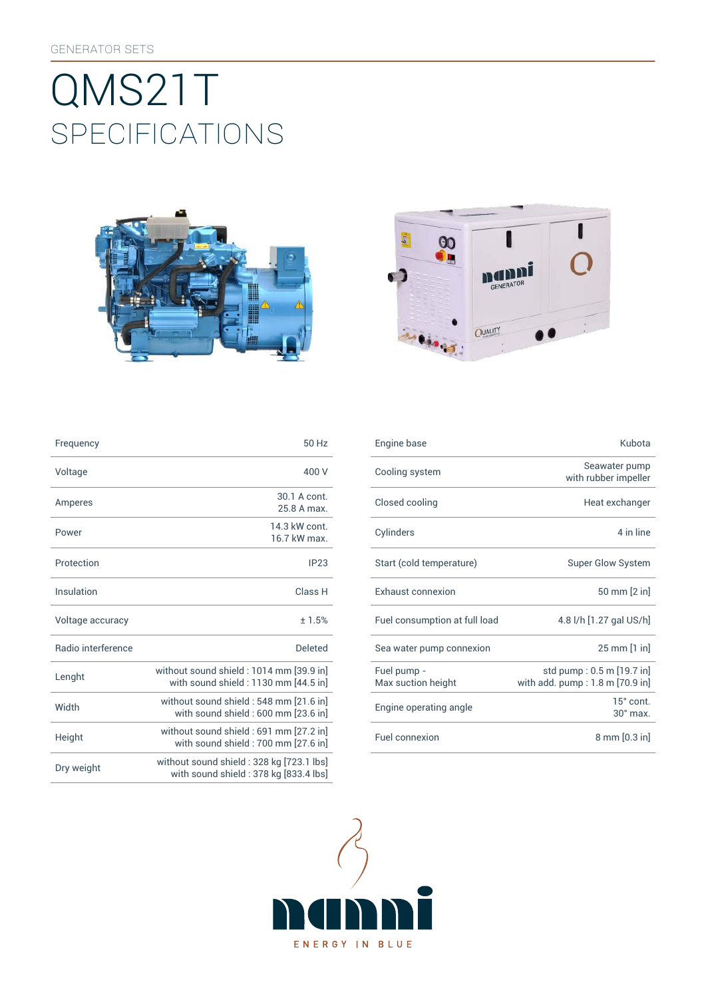# SpEcificATiONS QMS21T





| Frequency                 | 50 Hz                                                                             |
|---------------------------|-----------------------------------------------------------------------------------|
| Voltage                   | 400 V                                                                             |
| Amperes                   | 30.1 A cont.<br>25 8 A max                                                        |
| Power                     | 14 3 kW cont<br>16.7 kW max                                                       |
| Protection                | IP23                                                                              |
| Insulation                | Class <sub>H</sub>                                                                |
| Voltage accuracy          | ±1.5%                                                                             |
| <b>Badio</b> interference | <b>Deleted</b>                                                                    |
| Lenght                    | without sound shield: 1014 mm [39.9 in]<br>with sound shield: 1130 mm [44.5 in]   |
| Width                     | without sound shield : 548 mm [21.6 in]<br>with sound shield : 600 mm [23.6 in]   |
| Height                    | without sound shield: 691 mm [27.2 in]<br>with sound shield : 700 mm [27.6 in]    |
| Dry weight                | without sound shield: 328 kg [723.1 lbs]<br>with sound shield: 378 kg [833.4 lbs] |

| Frequency          | 50 Hz                                                                           | Engine base                       | Kubota                                                          |
|--------------------|---------------------------------------------------------------------------------|-----------------------------------|-----------------------------------------------------------------|
| Voltage            | 400 V                                                                           | Cooling system                    | Seawater pump<br>with rubber impeller                           |
| <b>Amperes</b>     | 30.1 A cont.<br>25.8 A max.                                                     | Closed cooling                    | Heat exchanger                                                  |
| Power              | 14.3 kW cont.<br>16.7 kW max.                                                   | Cylinders                         | 4 in line                                                       |
| Protection         | IP23                                                                            | Start (cold temperature)          | <b>Super Glow System</b>                                        |
| <b>Insulation</b>  | Class H                                                                         | Exhaust connexion                 | 50 mm [2 in]                                                    |
| Voltage accuracy   | ±1.5%                                                                           | Fuel consumption at full load     | 4.8 l/h [1.27 gal US/h]                                         |
| Radio interference | <b>Deleted</b>                                                                  | Sea water pump connexion          | 25 mm [1 in]                                                    |
| Lenght             | without sound shield: 1014 mm [39.9 in]<br>with sound shield: 1130 mm [44.5 in] | Fuel pump -<br>Max suction height | std pump : 0.5 m [19.7 in]<br>with add. $pump: 1.8 m [70.9 in]$ |
| Width              | without sound shield : 548 mm [21.6 in]<br>with sound shield: 600 mm [23.6 in]  | Engine operating angle            | $15^\circ$ cont.<br>$30^\circ$ max.                             |
| Height             | without sound shield : 691 mm [27.2 in]<br>with sound shield: 700 mm [27.6 in]  | Fuel connexion                    | $8 \text{ mm} [0.3 \text{ in}]$                                 |